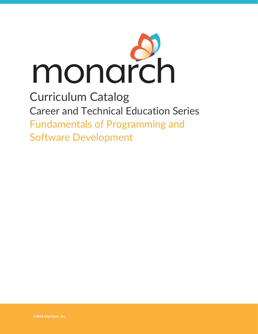

## Curriculum Catalog Career and Technical Education Series Fundamentals of Programming and Software Development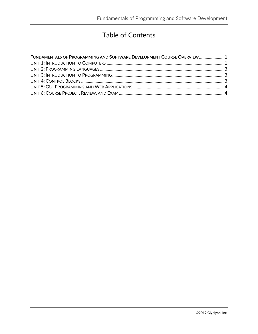## Table of Contents

| FUNDAMENTALS OF PROGRAMMING AND SOFTWARE DEVELOPMENT COURSE OVERVIEW 1 |  |
|------------------------------------------------------------------------|--|
|                                                                        |  |
|                                                                        |  |
|                                                                        |  |
|                                                                        |  |
|                                                                        |  |
|                                                                        |  |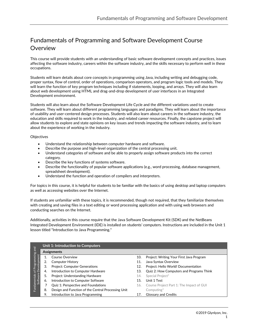## <span id="page-2-0"></span>Fundamentals of Programming and Software Development Course **Overview**

This course will provide students with an understanding of basic software development concepts and practices, issues affecting the software industry, careers within the software industry, and the skills necessary to perform well in these occupations.

Students will learn details about core concepts in programming using Java, including writing and debugging code, proper syntax, flow of control, order of operations, comparison operators, and program logic tools and models. They will learn the function of key program techniques including if statements, looping, and arrays. They will also learn about web development using HTML and drag-and-drop development of user interfaces in an Integrated Development environment.

Students will also learn about the Software Development Life Cycle and the different variations used to create software. They will learn about different programming languages and paradigms. They will learn about the importance of usability and user-centered design processes. Students will also learn about careers in the software industry, the education and skills required to work in the industry, and related career resources. Finally, the capstone project will allow students to explore and state opinions on key issues and trends impacting the software industry, and to learn about the experience of working in the industry.

## **Objectives**

- Understand the relationship between computer hardware and software.
- Describe the purpose and high-level organization of the central processing unit.
- Understand categories of software and be able to properly assign software products into the correct category.
- Describe the key functions of systems software.
- Describe the functionality of popular software applications (e.g., word processing, database management, spreadsheet development).
- Understand the function and operation of compilers and interpreters.

For topics in this course, it is helpful for students to be familiar with the basics of using desktop and laptop computers as well as accessing websites over the Internet.

If students are unfamiliar with these topics, it is recommended, though not required, that they familiarize themselves with creating and saving files in a text editing or word processing application and with using web browsers and conducting searches on the Internet.

Additionally, activities in this course require that the Java Software Development Kit (SDK) and the NetBeans Integrated Development Environment (IDE) is installed on students' computers. Instructions are included in the Unit 1 lesson titled "Introduction to Java Programming."

<span id="page-2-1"></span>

|                | Unit 1: Introduction to Computers |                                                    |     |                                                 |  |
|----------------|-----------------------------------|----------------------------------------------------|-----|-------------------------------------------------|--|
| $\overline{a}$ | Assignments                       |                                                    |     |                                                 |  |
| ogramming      |                                   | <b>Course Overview</b>                             | 10. | Project: Writing Your First Java Program        |  |
| elopment       | 2.                                | <b>Computer History</b>                            | 11. | Java Syntax Overview                            |  |
|                | 3.                                | <b>Project: Computer Generations</b>               | 12. | Project: Hello World! Documentation             |  |
| Dev<br>of Pr   | 4.                                | Introduction to Computer Hardware                  | 13. | <b>Quiz 2: How Computers and Programs Think</b> |  |
| Fundamentals   | 5.                                | Project: Understanding Hardware                    | 14. | Special Project*                                |  |
| Software       | 6.                                | Introduction to Computer Software                  | 15. | Unit 1 Test                                     |  |
|                |                                   | Quiz 1: Perspective and Foundations                | 16. | Course Project Part 1: The Impact of GUI        |  |
|                | 8.                                | Design and Function of the Central Processing Unit |     | $Computing*$                                    |  |
|                | 9.                                | Introduction to Java Programming                   | 17. | <b>Glossary and Credits</b>                     |  |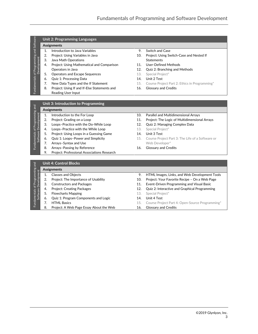<span id="page-4-0"></span>

| Software                      | <b>Unit 2: Programming Languages</b> |                                              |                |                                               |  |  |
|-------------------------------|--------------------------------------|----------------------------------------------|----------------|-----------------------------------------------|--|--|
|                               | Assignments                          |                                              |                |                                               |  |  |
| and<br>and                    | 1.                                   | Introduction to Java Variables               | 9.             | Switch and Case                               |  |  |
|                               | 2.                                   | Project: Using Variables in Java             | 10.            | Project: Using Switch-Case and Nested If      |  |  |
|                               | 3.                                   | Java Math Operations                         |                | <b>Statements</b>                             |  |  |
| of Programming<br>Development | 4.                                   | Project: Using Mathematical and Comparison   | 11.            | User-Defined Methods                          |  |  |
|                               |                                      | Operators in Java                            | 12.            | Quiz 2: Branching and Methods                 |  |  |
| Fundamentals                  | 5.                                   | <b>Operators and Escape Sequences</b>        | 13.            | Special Project*                              |  |  |
|                               | 6.                                   | <b>Quiz 1: Processing Data</b>               | 14.            | Unit 2 Test                                   |  |  |
|                               | 7.                                   | New Data Types and the If Statement          | 15.            | Course Project Part 2: Ethics in Programming* |  |  |
|                               | 8.                                   | Project: Using If and If-Else Statements and | 16.            | <b>Glossary and Credits</b>                   |  |  |
|                               |                                      | Reading User Input                           |                |                                               |  |  |
|                               |                                      |                                              |                |                                               |  |  |
|                               | Unit 3: Introduction to Programming  |                                              |                |                                               |  |  |
| ing and                       | Assignments                          |                                              |                |                                               |  |  |
| $H^+$                         |                                      | Introduction to the Earl con                 | 1 <sub>0</sub> | <b>Dovallational Multidimensional Arroys</b>  |  |  |

<span id="page-4-1"></span>

|                                                         |    | <u>UTIIL J. IIILI UUUCLIUII LU TTURTAITIIIIIIR</u> |     |                              |
|---------------------------------------------------------|----|----------------------------------------------------|-----|------------------------------|
| Fundamentals of Programming and<br>Software Development |    | Assignments                                        |     |                              |
|                                                         |    | Introduction to the For Loop                       | 10. | <b>Parallel and Multidim</b> |
|                                                         | 2. | Project: Grading on a Loop                         | 11. | Project: The Logic of        |
|                                                         | 3. | Loops-Practice with the Do-While Loop              | 12. | Quiz 2: Managing Co          |
|                                                         | 4. | Loops-Practice with the While Loop                 | 13. | Special Project*             |
|                                                         | 5. | Project: Using Loops in a Guessing Game            | 14. | Unit 3 Test                  |
|                                                         | 6. | Quiz 1: Loops-Power and Simplicity                 | 15. | Course Project Part 3        |
|                                                         | 7. | Arrays-Syntax and Use                              |     | Web Developer*               |
|                                                         | 8. | Arrays-Passing by Reference                        | 16. | <b>Glossary and Credits</b>  |
|                                                         |    |                                                    |     |                              |

<span id="page-4-2"></span>9. Project: Professional Associations Research

- 10. Parallel and Multidimensional Arrays
- 11. Project: The Logic of Multidimensional Arrays
- 12. Quiz 2: Managing Complex Data
- 13. Special Project\*
- 14. Unit 3 Test
- 15. Course Project Part 3: The Life of a Software or Web Developer\*
- 

| $\frac{1}{2}$                                       | <b>Unit 4: Control Blocks</b> |                                         |     |                                                      |  |
|-----------------------------------------------------|-------------------------------|-----------------------------------------|-----|------------------------------------------------------|--|
| Fundamentals of Programming<br>Software Development |                               | Assignments                             |     |                                                      |  |
|                                                     |                               | <b>Classes and Objects</b>              | 9.  | HTML Images, Links, and Web Development Tools        |  |
|                                                     |                               | Project: The Importance of Usability    | 10. | Project: Your Favorite Recipe - On a Web Page        |  |
|                                                     | 3.                            | <b>Constructors and Packages</b>        | 11. | Event-Driven Programming and Visual Basic            |  |
|                                                     | 4.                            | <b>Project: Creating Packages</b>       | 12. | <b>Quiz 2: Interactive and Graphical Programming</b> |  |
|                                                     |                               | <b>Flowcharts Mapping</b>               | 13. | Special Project*                                     |  |
|                                                     | 6.                            | Quiz 1: Program Components and Logic    | 14. | Unit 4 Test                                          |  |
|                                                     |                               | <b>HTML Basics</b>                      | 15. | Course Project Part 4: Open-Source Programming*      |  |
|                                                     | 8.                            | Project: A Web Page Essay About the Web | 16. | <b>Glossary and Credits</b>                          |  |